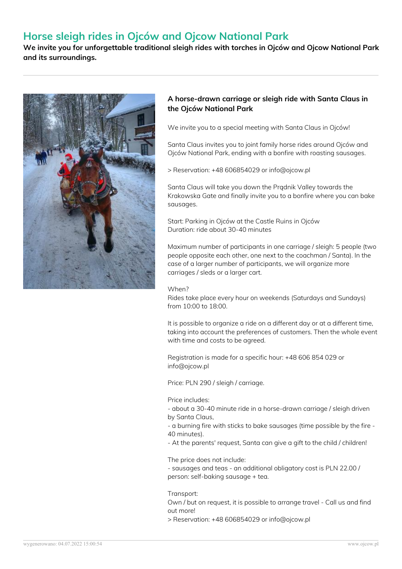# **Horse sleigh rides in Ojców and Ojcow National Park**

**We invite you for unforgettable traditional sleigh rides with torches in Ojców and Ojcow National Park and its surroundings.**



### **A horse-drawn carriage or sleigh ride with Santa Claus in the Ojców National Park**

We invite you to a special meeting with Santa Claus in Ojców!

Santa Claus invites you to joint family horse rides around Ojców and Ojców National Park, ending with a bonfire with roasting sausages.

> Reservation: +48 606854029 or info@ojcow.pl

Santa Claus will take you down the Prądnik Valley towards the Krakowska Gate and finally invite you to a bonfire where you can bake sausages.

Start: Parking in Ojców at the Castle Ruins in Ojców Duration: ride about 30-40 minutes

Maximum number of participants in one carriage / sleigh: 5 people (two people opposite each other, one next to the coachman / Santa). In the case of a larger number of participants, we will organize more carriages / sleds or a larger cart.

#### When?

Rides take place every hour on weekends (Saturdays and Sundays) from 10:00 to 18:00.

It is possible to organize a ride on a different day or at a different time, taking into account the preferences of customers. Then the whole event with time and costs to be agreed.

Registration is made for a specific hour: +48 606 854 029 or info@ojcow.pl

Price: PLN 290 / sleigh / carriage.

Price includes:

- about a 30-40 minute ride in a horse-drawn carriage / sleigh driven by Santa Claus,

- a burning fire with sticks to bake sausages (time possible by the fire - 40 minutes).

- At the parents' request, Santa can give a gift to the child / children!

The price does not include:

- sausages and teas - an additional obligatory cost is PLN 22.00 / person: self-baking sausage + tea.

Transport:

Own / but on request, it is possible to arrange travel - Call us and find out more!

> Reservation: +48 606854029 or info@ojcow.pl